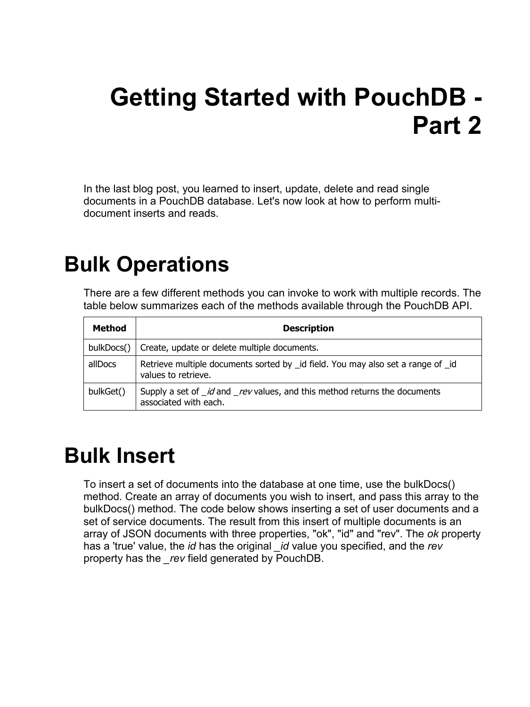# **Getting Started with PouchDB - Part 2**

In the last blog post, you learned to insert, update, delete and read single documents in a PouchDB database. Let's now look at how to perform multidocument inserts and reads.

### **Bulk Operations**

There are a few different methods you can invoke to work with multiple records. The table below summarizes each of the methods available through the PouchDB API.

| <b>Method</b> | <b>Description</b>                                                                                                |
|---------------|-------------------------------------------------------------------------------------------------------------------|
| bulkDocs()    | Create, update or delete multiple documents.                                                                      |
| allDocs       | Retrieve multiple documents sorted by _id field. You may also set a range of _id<br>values to retrieve.           |
| bulkGet()     | Supply a set of <i>_id</i> and <i>_rev</i> values, and this method returns the documents<br>associated with each. |

### **Bulk Insert**

To insert a set of documents into the database at one time, use the bulkDocs() method. Create an array of documents you wish to insert, and pass this array to the bulkDocs() method. The code below shows inserting a set of user documents and a set of service documents. The result from this insert of multiple documents is an array of JSON documents with three properties, "ok", "id" and "rev". The *ok* property has a 'true' value, the *id* has the original *\_id* value you specified, and the *rev* property has the *\_rev* field generated by PouchDB.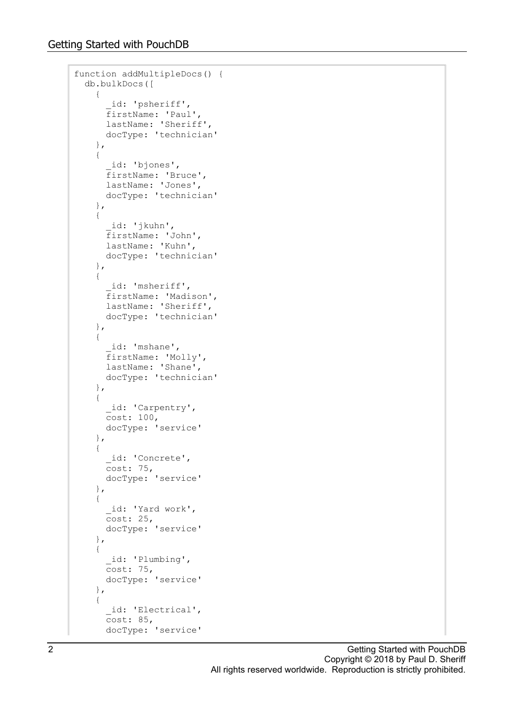```
function addMultipleDocs() {
  db.bulkDocs([
     {
        _id: 'psheriff',
       firstName: 'Paul',
       lastName: 'Sheriff',
      docType: 'technician'
     },
     {
 _id: 'bjones',
 firstName: 'Bruce',
      lastName: 'Jones',
      docType: 'technician'
     },
     {
        _id: 'jkuhn',
      firstName: 'John',
      lastName: 'Kuhn',
      docType: 'technician'
     },
     {
       id: 'msheriff',
      firstName: 'Madison',
      lastName: 'Sheriff',
       docType: 'technician'
     },
     {
      id: 'mshane',
       firstName: 'Molly',
      lastName: 'Shane',
      docType: 'technician'
     },
     {
      id: 'Carpentry',
     Cost: 100, docType: 'service'
     },
     {
      id: 'Concrete',
      cost: 75,
      docType: 'service'
     },
     {
       _id: 'Yard work',
     Cost: 25, docType: 'service'
     },
     {
_id: 'Plumbing',
 cost: 75,
      docType: 'service'
     },
     {
       _id: 'Electrical',
      Cost: 85, docType: 'service'
```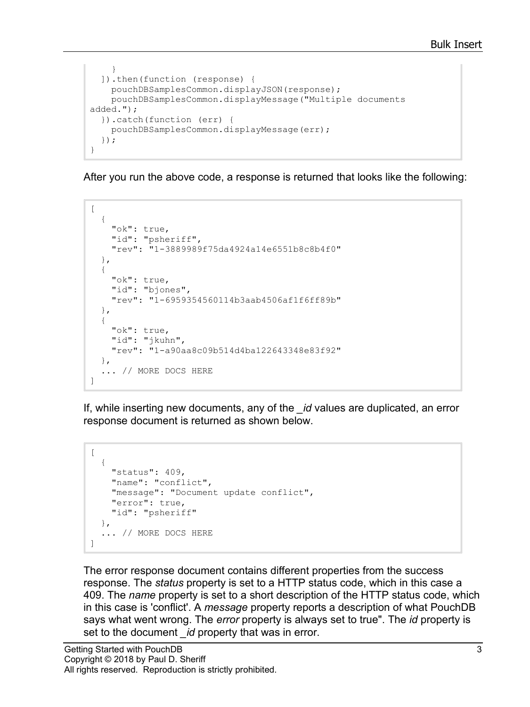```
 }
   ]).then(function (response) {
     pouchDBSamplesCommon.displayJSON(response);
     pouchDBSamplesCommon.displayMessage("Multiple documents 
added.");
   }).catch(function (err) {
     pouchDBSamplesCommon.displayMessage(err);
   });
}
```
After you run the above code, a response is returned that looks like the following:

```
[
   {
     "ok": true,
     "id": "psheriff",
     "rev": "1-3889989f75da4924a14e6551b8c8b4f0"
   },
   {
     "ok": true,
     "id": "bjones",
     "rev": "1-6959354560114b3aab4506af1f6ff89b"
   },
   {
     "ok": true,
     "id": "jkuhn",
     "rev": "1-a90aa8c09b514d4ba122643348e83f92"
   },
   ... // MORE DOCS HERE
]
```
If, while inserting new documents, any of the *\_id* values are duplicated, an error response document is returned as shown below.

```
\overline{a} {
     "status": 409,
     "name": "conflict",
     "message": "Document update conflict",
     "error": true,
     "id": "psheriff"
   },
   ... // MORE DOCS HERE
]
```
The error response document contains different properties from the success response. The *status* property is set to a HTTP status code, which in this case a 409. The *name* property is set to a short description of the HTTP status code, which in this case is 'conflict'. A *message* property reports a description of what PouchDB says what went wrong. The *error* property is always set to true". The *id* property is set to the document *\_id* property that was in error.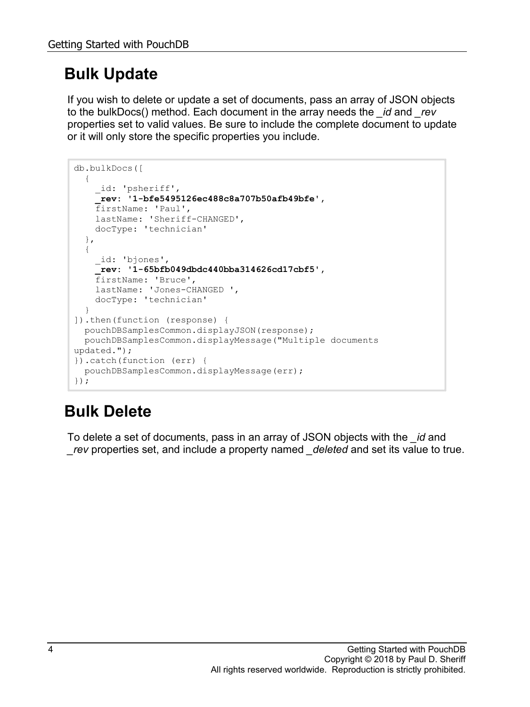### **Bulk Update**

If you wish to delete or update a set of documents, pass an array of JSON objects to the bulkDocs() method. Each document in the array needs the *\_id* and *\_rev* properties set to valid values. Be sure to include the complete document to update or it will only store the specific properties you include.

```
db.bulkDocs([
   {
     _id: 'psheriff',
     _rev: '1-bfe5495126ec488c8a707b50afb49bfe',
    firstName: 'Paul',
    lastName: 'Sheriff-CHANGED',
     docType: 'technician'
   },
   {
     _id: 'bjones',
     _rev: '1-65bfb049dbdc440bba314626cd17cbf5',
    firstName: 'Bruce',
    lastName: 'Jones-CHANGED ',
     docType: 'technician'
  }
]).then(function (response) {
  pouchDBSamplesCommon.displayJSON(response);
   pouchDBSamplesCommon.displayMessage("Multiple documents 
updated.");
}).catch(function (err) {
   pouchDBSamplesCommon.displayMessage(err);
});
```
### **Bulk Delete**

To delete a set of documents, pass in an array of JSON objects with the *\_id* and *\_rev* properties set, and include a property named *\_deleted* and set its value to true.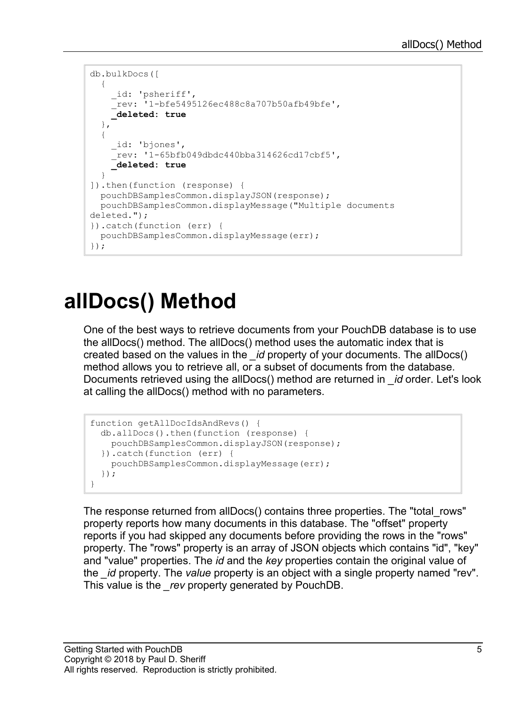```
db.bulkDocs([
  {
     _id: 'psheriff',
    r = rev: '1-bfe5495126ec488c8a707b50afb49bfe',
     _deleted: true
   },
   {
     _id: 'bjones',
    Trev: '1-65bfb049dbdc440bba314626cd17cbf5',
     _deleted: true
   }
]).then(function (response) {
   pouchDBSamplesCommon.displayJSON(response);
  pouchDBSamplesCommon.displayMessage("Multiple documents 
deleted.");
}).catch(function (err) {
  pouchDBSamplesCommon.displayMessage(err);
});
```
## **allDocs() Method**

One of the best ways to retrieve documents from your PouchDB database is to use the allDocs() method. The allDocs() method uses the automatic index that is created based on the values in the *\_id* property of your documents. The allDocs() method allows you to retrieve all, or a subset of documents from the database. Documents retrieved using the allDocs() method are returned in *\_id* order. Let's look at calling the allDocs() method with no parameters.

```
function getAllDocIdsAndRevs() {
  db.allDocs().then(function (response) {
    pouchDBSamplesCommon.displayJSON(response);
   }).catch(function (err) {
    pouchDBSamplesCommon.displayMessage(err);
   });
}
```
The response returned from allDocs() contains three properties. The "total\_rows" property reports how many documents in this database. The "offset" property reports if you had skipped any documents before providing the rows in the "rows" property. The "rows" property is an array of JSON objects which contains "id", "key" and "value" properties. The *id* and the *key* properties contain the original value of the *\_id* property. The *value* property is an object with a single property named "rev". This value is the *\_rev* property generated by PouchDB.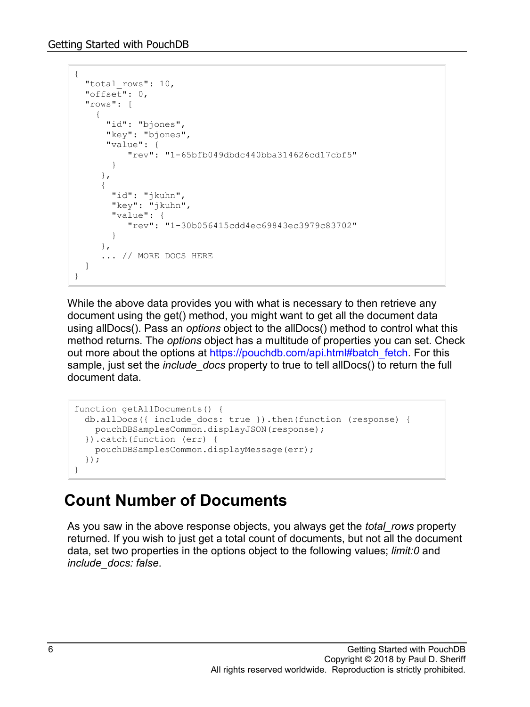```
{
  "total rows": 10,
   "offset": 0,
   "rows": [
     {
      "id": "bjones",
       "key": "bjones",
       "value": {
           "rev": "1-65bfb049dbdc440bba314626cd17cbf5"
 }
      },
      {
        "id": "jkuhn",
        "key": "jkuhn",
        "value": {
        "rev": "1-30b056415cdd4ec69843ec3979c83702"
 }
      },
      ... // MORE DOCS HERE
  ]
}
```
While the above data provides you with what is necessary to then retrieve any document using the get() method, you might want to get all the document data using allDocs(). Pass an *options* object to the allDocs() method to control what this method returns. The *options* object has a multitude of properties you can set. Check out more about the options at [https://pouchdb.com/api.html#batch\\_fetch.](https://pouchdb.com/api.html#batch_fetch) For this sample, just set the *include\_docs* property to true to tell allDocs() to return the full document data.

```
function getAllDocuments() {
  db.allDocs({ include_docs: true }).then(function (response) {
    pouchDBSamplesCommon.displayJSON(response);
   }).catch(function (err) {
    pouchDBSamplesCommon.displayMessage(err);
  });
}
```
#### **Count Number of Documents**

As you saw in the above response objects, you always get the *total\_rows* property returned. If you wish to just get a total count of documents, but not all the document data, set two properties in the options object to the following values; *limit:0* and *include\_docs: false*.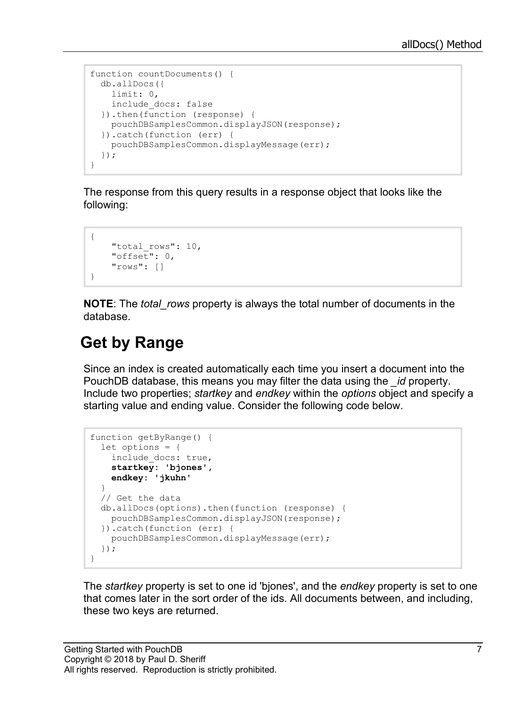```
function countDocuments() {
  db.allDocs({
    limit: 0, 
    include_docs: false 
  }).then(function (response) {
    pouchDBSamplesCommon.displayJSON(response);
   }).catch(function (err) {
    pouchDBSamplesCommon.displayMessage(err);
   });
}
```
The response from this query results in a response object that looks like the following:

```
{
    "total rows": 10,
     "offset": 0,
     "rows": []
}
```
**NOTE**: The *total\_rows* property is always the total number of documents in the database.

#### **Get by Range**

Since an index is created automatically each time you insert a document into the PouchDB database, this means you may filter the data using the *\_id* property. Include two properties; *startkey* and *endkey* within the *options* object and specify a starting value and ending value. Consider the following code below.

```
function getByRange() {
   let options = {
     include_docs: true,
     startkey: 'bjones',
     endkey: 'jkuhn'
   }
   // Get the data
   db.allDocs(options).then(function (response) {
    pouchDBSamplesCommon.displayJSON(response);
   }).catch(function (err) {
     pouchDBSamplesCommon.displayMessage(err);
   });
}
```
The *startkey* property is set to one id 'bjones', and the *endkey* property is set to one that comes later in the sort order of the ids. All documents between, and including, these two keys are returned.